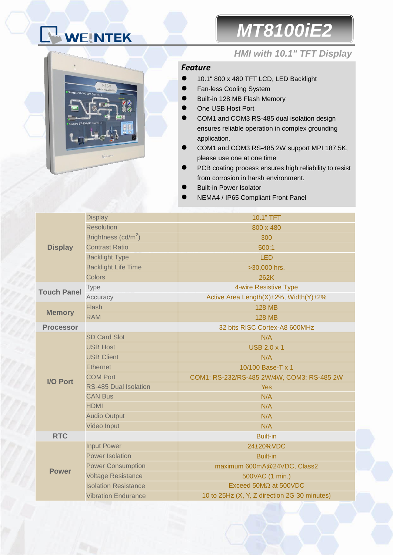# WEINTEK

## *MT8100iE2*



### *HMI with 10.1" TFT Display*

### *Feature*

- 10.1" 800 x 480 TFT LCD, LED Backlight
- **Fan-less Cooling System**
- Built-in 128 MB Flash Memory
- One USB Host Port
- COM1 and COM3 RS-485 dual isolation design ensures reliable operation in complex grounding application.
- COM1 and COM3 RS-485 2W support MPI 187.5K, please use one at one time
- PCB coating process ensures high reliability to resist from corrosion in harsh environment.
- Built-in Power Isolator
- NEMA4 / IP65 Compliant Front Panel

| <b>Display</b>     | <b>Display</b>               | 10.1" TFT                                    |  |  |
|--------------------|------------------------------|----------------------------------------------|--|--|
|                    | <b>Resolution</b>            | 800 x 480                                    |  |  |
|                    | Brightness $(cd/m^2)$        | 300                                          |  |  |
|                    | <b>Contrast Ratio</b>        | 500:1                                        |  |  |
|                    | <b>Backlight Type</b>        | <b>LED</b>                                   |  |  |
|                    | <b>Backlight Life Time</b>   | >30,000 hrs.                                 |  |  |
|                    | Colors                       | 262K                                         |  |  |
| <b>Touch Panel</b> | <b>Type</b>                  | 4-wire Resistive Type                        |  |  |
|                    | Accuracy                     | Active Area Length(X)±2%, Width(Y)±2%        |  |  |
| <b>Memory</b>      | Flash                        | <b>128 MB</b>                                |  |  |
|                    | <b>RAM</b>                   | <b>128 MB</b>                                |  |  |
| <b>Processor</b>   |                              | 32 bits RISC Cortex-A8 600MHz                |  |  |
|                    | <b>SD Card Slot</b>          | N/A                                          |  |  |
|                    | <b>USB Host</b>              | <b>USB 2.0 x 1</b>                           |  |  |
|                    | <b>USB Client</b>            | N/A                                          |  |  |
|                    | <b>Ethernet</b>              | 10/100 Base-T x 1                            |  |  |
| I/O Port           | <b>COM Port</b>              | COM1: RS-232/RS-485 2W/4W, COM3: RS-485 2W   |  |  |
|                    | <b>RS-485 Dual Isolation</b> | <b>Yes</b>                                   |  |  |
|                    | <b>CAN Bus</b>               | N/A                                          |  |  |
|                    | <b>HDMI</b>                  | N/A                                          |  |  |
|                    | <b>Audio Output</b>          | N/A                                          |  |  |
|                    | Video Input                  | N/A                                          |  |  |
| <b>RTC</b>         |                              | <b>Built-in</b>                              |  |  |
|                    | <b>Input Power</b>           | 24±20%VDC                                    |  |  |
|                    | <b>Power Isolation</b>       | <b>Built-in</b>                              |  |  |
| <b>Power</b>       | <b>Power Consumption</b>     | maximum 600mA@24VDC, Class2                  |  |  |
|                    | <b>Voltage Resistance</b>    | 500VAC (1 min.)                              |  |  |
|                    | <b>Isolation Resistance</b>  | Exceed $50M\Omega$ at $500VDC$               |  |  |
|                    | <b>Vibration Endurance</b>   | 10 to 25Hz (X, Y, Z direction 2G 30 minutes) |  |  |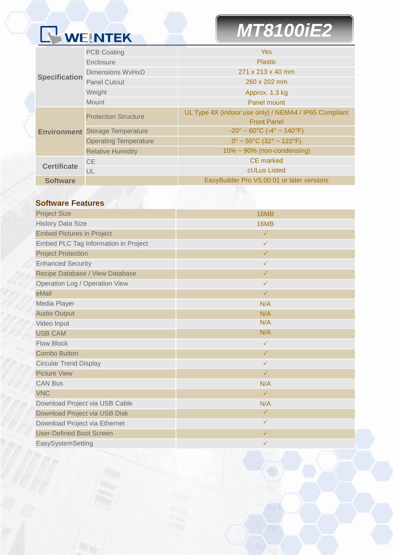# WEINTEK

# *MT8100iE2*

| <b>Specification</b> | <b>PCB Coating</b>           | <b>Yes</b>                                                         |  |  |
|----------------------|------------------------------|--------------------------------------------------------------------|--|--|
|                      | Enclosure                    | <b>Plastic</b>                                                     |  |  |
|                      | Dimensions WxHxD             | 271 x 213 x 40 mm                                                  |  |  |
|                      | <b>Panel Cutout</b>          | 260 x 202 mm                                                       |  |  |
|                      | Weight                       | Approx. 1.3 kg                                                     |  |  |
|                      | <b>Mount</b>                 | Panel mount                                                        |  |  |
| <b>Environment</b>   | <b>Protection Structure</b>  | UL Type 4X (indoor use only) / NEMA4 / IP65 Compliant              |  |  |
|                      |                              | <b>Front Panel</b>                                                 |  |  |
|                      | <b>Storage Temperature</b>   | $-20^{\circ} \sim 60^{\circ}$ C ( $-4^{\circ} \sim 140^{\circ}$ F) |  |  |
|                      | <b>Operating Temperature</b> | $0^{\circ}$ ~ 50°C (32° ~ 122°F)                                   |  |  |
|                      | <b>Relative Humidity</b>     | $10\% \sim 90\%$ (non-condensing)                                  |  |  |
| <b>Certificate</b>   | <b>CE</b>                    | CE marked                                                          |  |  |
|                      | UL                           | cULus Listed                                                       |  |  |
| <b>Software</b>      |                              | EasyBuilder Pro V5.00.01 or later versions                         |  |  |

### **Software Features**

| <b>Project Size</b>                   | 16MB         |  |  |
|---------------------------------------|--------------|--|--|
| <b>History Data Size</b>              | 16MB         |  |  |
| <b>Embed Pictures in Project</b>      | $\checkmark$ |  |  |
| Embed PLC Tag Information in Project  | $\checkmark$ |  |  |
| <b>Project Protection</b>             | $\checkmark$ |  |  |
| <b>Enhanced Security</b>              | $\checkmark$ |  |  |
| Recipe Database / View Database       | $\checkmark$ |  |  |
| <b>Operation Log / Operation View</b> | $\checkmark$ |  |  |
| eMail                                 | $\checkmark$ |  |  |
| Media Player                          | N/A          |  |  |
| <b>Audio Output</b>                   | N/A          |  |  |
| Video Input                           | N/A          |  |  |
| <b>USB CAM</b>                        | N/A          |  |  |
| <b>Flow Block</b>                     | $\checkmark$ |  |  |
| <b>Combo Button</b>                   | $\checkmark$ |  |  |
| <b>Circular Trend Display</b>         | $\checkmark$ |  |  |
| <b>Picture View</b>                   | $\checkmark$ |  |  |
| <b>CAN Bus</b>                        | N/A          |  |  |
| <b>VNC</b>                            | $\checkmark$ |  |  |
| Download Project via USB Cable        | N/A          |  |  |
| Download Project via USB Disk         | $\checkmark$ |  |  |
| Download Project via Ethernet         | $\checkmark$ |  |  |
| <b>User-Defined Boot Screen</b>       | $\checkmark$ |  |  |
| EasySystemSetting                     | $\checkmark$ |  |  |